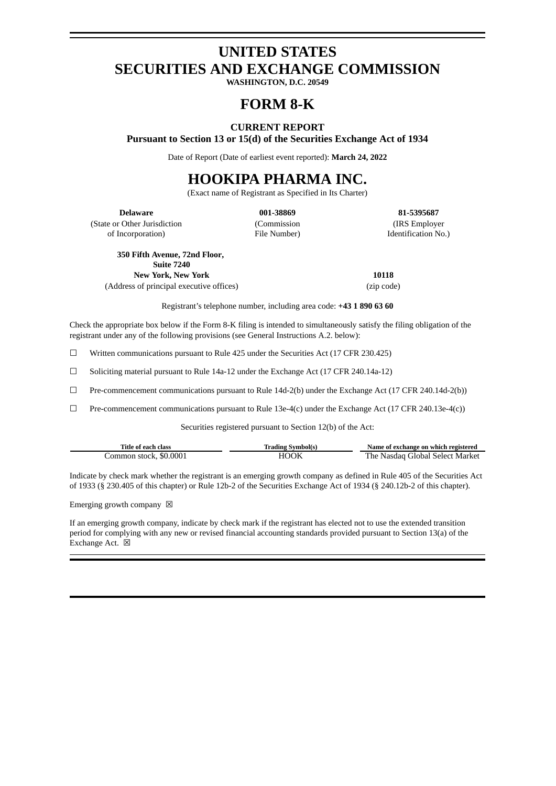# **UNITED STATES SECURITIES AND EXCHANGE COMMISSION**

**WASHINGTON, D.C. 20549**

## **FORM 8-K**

## **CURRENT REPORT Pursuant to Section 13 or 15(d) of the Securities Exchange Act of 1934**

Date of Report (Date of earliest event reported): **March 24, 2022**

## **HOOKIPA PHARMA INC.**

(Exact name of Registrant as Specified in Its Charter)

(State or Other Jurisdiction of Incorporation)

(Commission File Number)

**Delaware 001-38869 81-5395687** (IRS Employer Identification No.)

**350 Fifth Avenue, 72nd Floor,**

**Suite 7240**

**New York, New York 10118** (Address of principal executive offices) (zip code)

Registrant's telephone number, including area code: **+43 1 890 63 60**

Check the appropriate box below if the Form 8-K filing is intended to simultaneously satisfy the filing obligation of the registrant under any of the following provisions (see General Instructions A.2. below):

 $\Box$  Written communications pursuant to Rule 425 under the Securities Act (17 CFR 230.425)

 $\Box$  Soliciting material pursuant to Rule 14a-12 under the Exchange Act (17 CFR 240.14a-12)

 $\Box$  Pre-commencement communications pursuant to Rule 14d-2(b) under the Exchange Act (17 CFR 240.14d-2(b))

 $\Box$  Pre-commencement communications pursuant to Rule 13e-4(c) under the Exchange Act (17 CFR 240.13e-4(c))

Securities registered pursuant to Section 12(b) of the Act:

| Title of each class    | Trading Symbol(s) | Name of exchange on which registered |
|------------------------|-------------------|--------------------------------------|
| Common stock, \$0.0001 | HOOK              | The Nasdaq Global Select Market      |

Indicate by check mark whether the registrant is an emerging growth company as defined in Rule 405 of the Securities Act of 1933 (§ 230.405 of this chapter) or Rule 12b-2 of the Securities Exchange Act of 1934 (§ 240.12b-2 of this chapter).

Emerging growth company  $\boxtimes$ 

If an emerging growth company, indicate by check mark if the registrant has elected not to use the extended transition period for complying with any new or revised financial accounting standards provided pursuant to Section 13(a) of the Exchange Act.  $\boxtimes$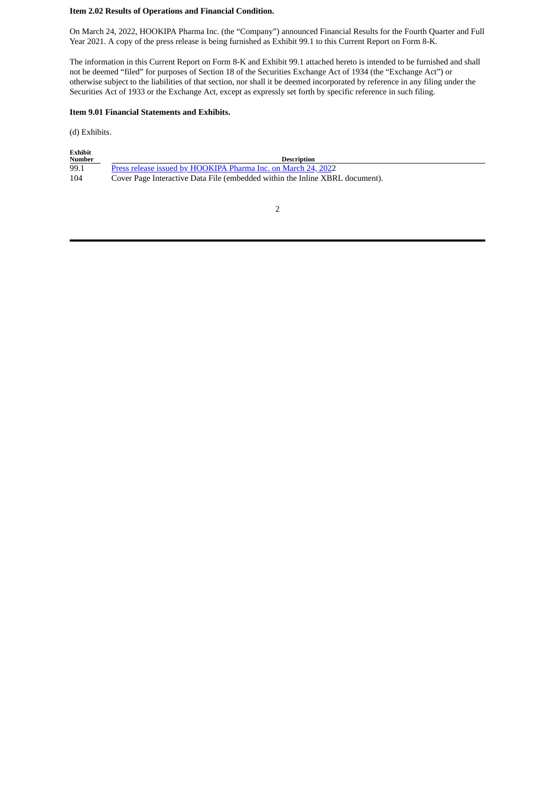## **Item 2.02 Results of Operations and Financial Condition.**

On March 24, 2022, HOOKIPA Pharma Inc. (the "Company") announced Financial Results for the Fourth Quarter and Full Year 2021. A copy of the press release is being furnished as Exhibit 99.1 to this Current Report on Form 8-K.

The information in this Current Report on Form 8-K and Exhibit 99.1 attached hereto is intended to be furnished and shall not be deemed "filed" for purposes of Section 18 of the Securities Exchange Act of 1934 (the "Exchange Act") or otherwise subject to the liabilities of that section, nor shall it be deemed incorporated by reference in any filing under the Securities Act of 1933 or the Exchange Act, except as expressly set forth by specific reference in such filing.

#### **Item 9.01 Financial Statements and Exhibits.**

(d) Exhibits.

| <b>Exhibit</b><br><b>Number</b> |                                                                              |
|---------------------------------|------------------------------------------------------------------------------|
|                                 | <b>Description</b>                                                           |
| 99.1                            | Press release issued by HOOKIPA Pharma Inc. on March 24, 2022                |
| 104                             | Cover Page Interactive Data File (embedded within the Inline XBRL document). |

2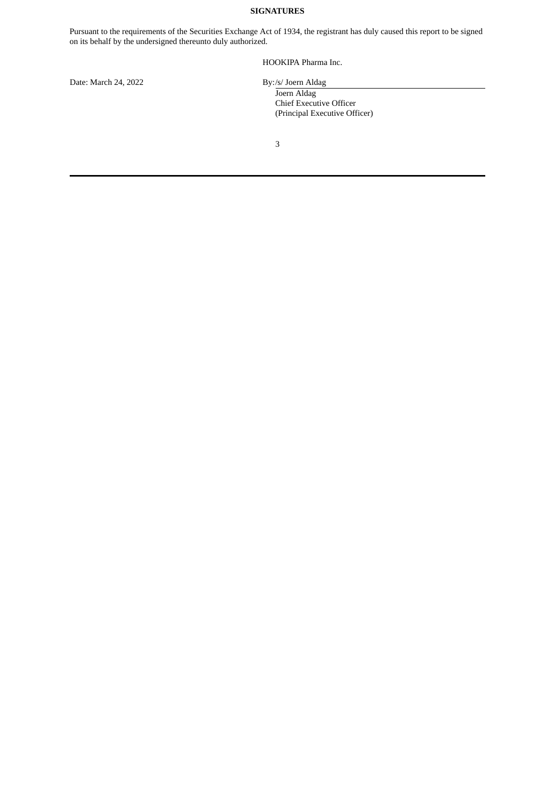## **SIGNATURES**

Pursuant to the requirements of the Securities Exchange Act of 1934, the registrant has duly caused this report to be signed on its behalf by the undersigned thereunto duly authorized.

HOOKIPA Pharma Inc.

Date: March 24, 2022 By:/s/ Joern Aldag

Joern Aldag Chief Executive Officer

(Principal Executive Officer)

3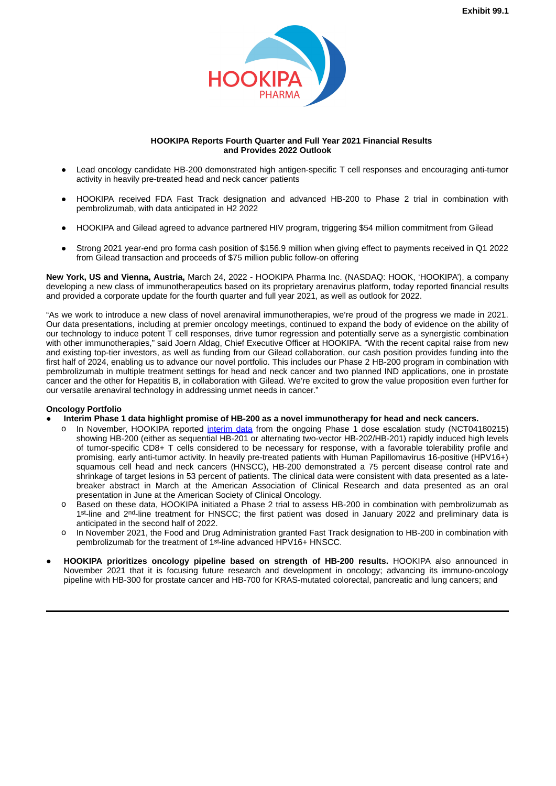

#### **HOOKIPA Reports Fourth Quarter and Full Year 2021 Financial Results and Provides 2022 Outlook**

- <span id="page-3-0"></span>Lead oncology candidate HB-200 demonstrated high antigen-specific T cell responses and encouraging anti-tumor activity in heavily pre-treated head and neck cancer patients
- HOOKIPA received FDA Fast Track designation and advanced HB-200 to Phase 2 trial in combination with pembrolizumab, with data anticipated in H2 2022
- HOOKIPA and Gilead agreed to advance partnered HIV program, triggering \$54 million commitment from Gilead
- Strong 2021 year-end pro forma cash position of \$156.9 million when giving effect to payments received in Q1 2022 from Gilead transaction and proceeds of \$75 million public follow-on offering

**New York, US and Vienna, Austria,** March 24, 2022 - HOOKIPA Pharma Inc. (NASDAQ: HOOK, 'HOOKIPA'), a company developing a new class of immunotherapeutics based on its proprietary arenavirus platform, today reported financial results and provided a corporate update for the fourth quarter and full year 2021, as well as outlook for 2022.

"As we work to introduce a new class of novel arenaviral immunotherapies, we're proud of the progress we made in 2021. Our data presentations, including at premier oncology meetings, continued to expand the body of evidence on the ability of our technology to induce potent T cell responses, drive tumor regression and potentially serve as a synergistic combination with other immunotherapies," said Joern Aldag, Chief Executive Officer at HOOKIPA. "With the recent capital raise from new and existing top-tier investors, as well as funding from our Gilead collaboration, our cash position provides funding into the first half of 2024, enabling us to advance our novel portfolio. This includes our Phase 2 HB-200 program in combination with pembrolizumab in multiple treatment settings for head and neck cancer and two planned IND applications, one in prostate cancer and the other for Hepatitis B, in collaboration with Gilead. We're excited to grow the value proposition even further for our versatile arenaviral technology in addressing unmet needs in cancer."

## **Oncology Portfolio**

- **Interim Phase 1 data highlight promise of HB-200 as a novel immunotherapy for head and neck cancers.**
	- o In November, HOOKIPA reported interim data from the ongoing Phase 1 dose escalation study (NCT04180215) showing HB-200 (either as sequential HB-201 or alternating two-vector HB-202/HB-201) rapidly induced high levels of tumor-specific CD8+ T cells considered to be necessary for response, with a favorable tolerability profile and promising, early anti-tumor activity. In heavily pre-treated patients with Human Papillomavirus 16-positive (HPV16+) squamous cell head and neck cancers (HNSCC), HB-200 demonstrated a 75 percent disease control rate and shrinkage of target lesions in 53 percent of patients. The clinical data were consistent with data presented as a latebreaker abstract in March at the American Association of Clinical Research and data presented as an oral presentation in June at the American Society of Clinical Oncology.
	- o Based on these data, HOOKIPA initiated a Phase 2 trial to assess HB-200 in combination with pembrolizumab as 1st-line and 2nd-line treatment for HNSCC; the first patient was dosed in January 2022 and preliminary data is anticipated in the second half of 2022.
	- o In November 2021, the Food and Drug Administration granted Fast Track designation to HB-200 in combination with pembrolizumab for the treatment of 1st-line advanced HPV16+ HNSCC.
- **HOOKIPA prioritizes oncology pipeline based on strength of HB-200 results.** HOOKIPA also announced in November 2021 that it is focusing future research and development in oncology; advancing its immuno-oncology pipeline with HB-300 for prostate cancer and HB-700 for KRAS-mutated colorectal, pancreatic and lung cancers; and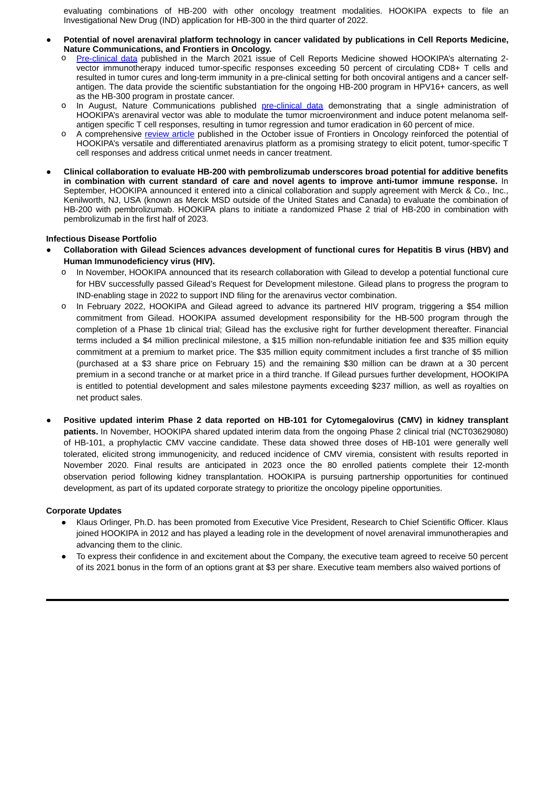evaluating combinations of HB-200 with other oncology treatment modalities. HOOKIPA expects to file an Investigational New Drug (IND) application for HB-300 in the third quarter of 2022.

- **Potential of novel arenaviral platform technology in cancer validated by publications in Cell Reports Medicine, Nature Communications, and Frontiers in Oncology.**
	- o Pre-clinical data published in the March 2021 issue of Cell Reports Medicine showed HOOKIPA's alternating 2vector immunotherapy induced tumor-specific responses exceeding 50 percent of circulating CD8+ T cells and resulted in tumor cures and long-term immunity in a pre-clinical setting for both oncoviral antigens and a cancer selfantigen. The data provide the scientific substantiation for the ongoing HB-200 program in HPV16+ cancers, as well as the HB-300 program in prostate cancer.
	- o In August, Nature Communications published pre-clinical data demonstrating that a single administration of HOOKIPA's arenaviral vector was able to modulate the tumor microenvironment and induce potent melanoma selfantigen specific T cell responses, resulting in tumor regression and tumor eradication in 60 percent of mice.
	- o A comprehensive review article published in the October issue of Frontiers in Oncology reinforced the potential of HOOKIPA's versatile and differentiated arenavirus platform as a promising strategy to elicit potent, tumor-specific T cell responses and address critical unmet needs in cancer treatment.
- **Clinical collaboration to evaluate HB-200 with pembrolizumab underscores broad potential for additive benefits in combination with current standard of care and novel agents to improve anti-tumor immune response.** In September, HOOKIPA announced it entered into a clinical collaboration and supply agreement with Merck & Co., Inc., Kenilworth, NJ, USA (known as Merck MSD outside of the United States and Canada) to evaluate the combination of HB-200 with pembrolizumab. HOOKIPA plans to initiate a randomized Phase 2 trial of HB-200 in combination with pembrolizumab in the first half of 2023.

## **Infectious Disease Portfolio**

- **Collaboration with Gilead Sciences advances development of functional cures for Hepatitis B virus (HBV) and Human Immunodeficiency virus (HIV).**
	- In November, HOOKIPA announced that its research collaboration with Gilead to develop a potential functional cure for HBV successfully passed Gilead's Request for Development milestone. Gilead plans to progress the program to IND-enabling stage in 2022 to support IND filing for the arenavirus vector combination.
	- o In February 2022, HOOKIPA and Gilead agreed to advance its partnered HIV program, triggering a \$54 million commitment from Gilead. HOOKIPA assumed development responsibility for the HB-500 program through the completion of a Phase 1b clinical trial; Gilead has the exclusive right for further development thereafter. Financial terms included a \$4 million preclinical milestone, a \$15 million non-refundable initiation fee and \$35 million equity commitment at a premium to market price. The \$35 million equity commitment includes a first tranche of \$5 million (purchased at a \$3 share price on February 15) and the remaining \$30 million can be drawn at a 30 percent premium in a second tranche or at market price in a third tranche. If Gilead pursues further development, HOOKIPA is entitled to potential development and sales milestone payments exceeding \$237 million, as well as royalties on net product sales.
- **Positive updated interim Phase 2 data reported on HB-101 for Cytomegalovirus (CMV) in kidney transplant patients.** In November, HOOKIPA shared updated interim data from the ongoing Phase 2 clinical trial (NCT03629080) of HB-101, a prophylactic CMV vaccine candidate. These data showed three doses of HB-101 were generally well tolerated, elicited strong immunogenicity, and reduced incidence of CMV viremia, consistent with results reported in November 2020. Final results are anticipated in 2023 once the 80 enrolled patients complete their 12-month observation period following kidney transplantation. HOOKIPA is pursuing partnership opportunities for continued development, as part of its updated corporate strategy to prioritize the oncology pipeline opportunities.

## **Corporate Updates**

- Klaus Orlinger, Ph.D. has been promoted from Executive Vice President, Research to Chief Scientific Officer. Klaus joined HOOKIPA in 2012 and has played a leading role in the development of novel arenaviral immunotherapies and advancing them to the clinic.
- To express their confidence in and excitement about the Company, the executive team agreed to receive 50 percent of its 2021 bonus in the form of an options grant at \$3 per share. Executive team members also waived portions of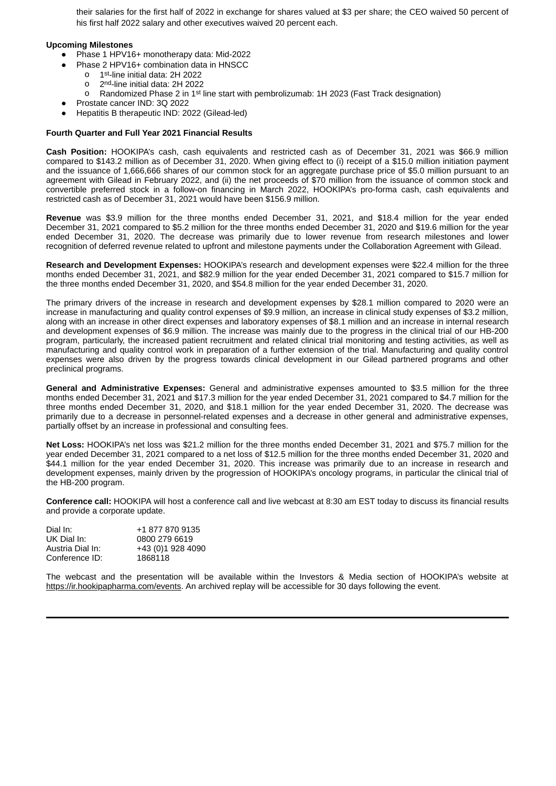their salaries for the first half of 2022 in exchange for shares valued at \$3 per share; the CEO waived 50 percent of his first half 2022 salary and other executives waived 20 percent each.

## **Upcoming Milestones**

- Phase 1 HPV16+ monotherapy data: Mid-2022
- Phase 2 HPV16+ combination data in HNSCC
	- o 1st-line initial data: 2H 2022
	- o 2nd-line initial data: 2H 2022
	- o Randomized Phase 2 in 1st line start with pembrolizumab: 1H 2023 (Fast Track designation)
- Prostate cancer IND: 3Q 2022
- Hepatitis B therapeutic IND: 2022 (Gilead-led)

## **Fourth Quarter and Full Year 2021 Financial Results**

**Cash Position:** HOOKIPA's cash, cash equivalents and restricted cash as of December 31, 2021 was \$66.9 million compared to \$143.2 million as of December 31, 2020. When giving effect to (i) receipt of a \$15.0 million initiation payment and the issuance of 1,666,666 shares of our common stock for an aggregate purchase price of \$5.0 million pursuant to an agreement with Gilead in February 2022, and (ii) the net proceeds of \$70 million from the issuance of common stock and convertible preferred stock in a follow-on financing in March 2022, HOOKIPA's pro-forma cash, cash equivalents and restricted cash as of December 31, 2021 would have been \$156.9 million.

**Revenue** was \$3.9 million for the three months ended December 31, 2021, and \$18.4 million for the year ended December 31, 2021 compared to \$5.2 million for the three months ended December 31, 2020 and \$19.6 million for the year ended December 31, 2020. The decrease was primarily due to lower revenue from research milestones and lower recognition of deferred revenue related to upfront and milestone payments under the Collaboration Agreement with Gilead.

**Research and Development Expenses:** HOOKIPA's research and development expenses were \$22.4 million for the three months ended December 31, 2021, and \$82.9 million for the year ended December 31, 2021 compared to \$15.7 million for the three months ended December 31, 2020, and \$54.8 million for the year ended December 31, 2020.

The primary drivers of the increase in research and development expenses by \$28.1 million compared to 2020 were an increase in manufacturing and quality control expenses of \$9.9 million, an increase in clinical study expenses of \$3.2 million, along with an increase in other direct expenses and laboratory expenses of \$8.1 million and an increase in internal research and development expenses of \$6.9 million. The increase was mainly due to the progress in the clinical trial of our HB-200 program, particularly, the increased patient recruitment and related clinical trial monitoring and testing activities, as well as manufacturing and quality control work in preparation of a further extension of the trial. Manufacturing and quality control expenses were also driven by the progress towards clinical development in our Gilead partnered programs and other preclinical programs.

**General and Administrative Expenses:** General and administrative expenses amounted to \$3.5 million for the three months ended December 31, 2021 and \$17.3 million for the year ended December 31, 2021 compared to \$4.7 million for the three months ended December 31, 2020, and \$18.1 million for the year ended December 31, 2020. The decrease was primarily due to a decrease in personnel-related expenses and a decrease in other general and administrative expenses, partially offset by an increase in professional and consulting fees.

**Net Loss:** HOOKIPA's net loss was \$21.2 million for the three months ended December 31, 2021 and \$75.7 million for the year ended December 31, 2021 compared to a net loss of \$12.5 million for the three months ended December 31, 2020 and \$44.1 million for the year ended December 31, 2020. This increase was primarily due to an increase in research and development expenses, mainly driven by the progression of HOOKIPA's oncology programs, in particular the clinical trial of the HB-200 program.

**Conference call:** HOOKIPA will host a conference call and live webcast at 8:30 am EST today to discuss its financial results and provide a corporate update.

| Dial In:         | +1 877 870 9135   |
|------------------|-------------------|
| UK Dial In:      | 0800 279 6619     |
| Austria Dial In: | +43 (0)1 928 4090 |
| Conference ID:   | 1868118           |

The webcast and the presentation will be available within the Investors & Media section of HOOKIPA's website at https://ir.hookipapharma.com/events. An archived replay will be accessible for 30 days following the event.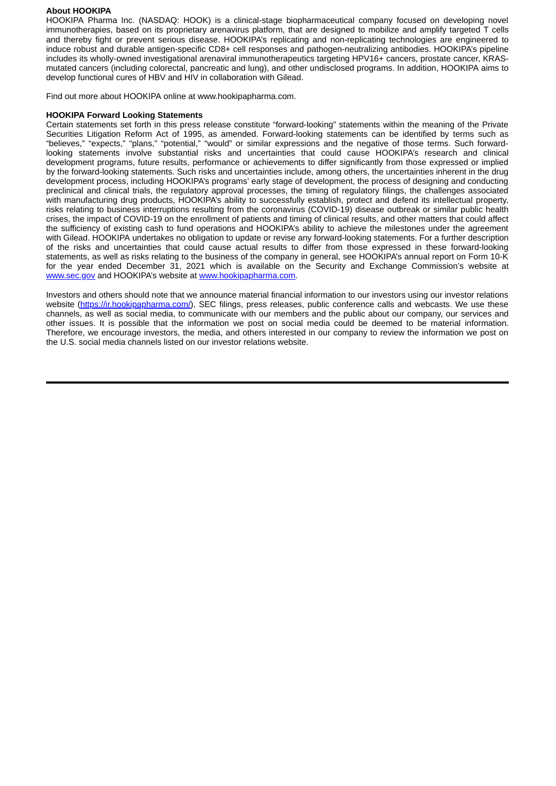## **About HOOKIPA**

HOOKIPA Pharma Inc. (NASDAQ: HOOK) is a clinical-stage biopharmaceutical company focused on developing novel immunotherapies, based on its proprietary arenavirus platform, that are designed to mobilize and amplify targeted T cells and thereby fight or prevent serious disease. HOOKIPA's replicating and non-replicating technologies are engineered to induce robust and durable antigen-specific CD8+ cell responses and pathogen-neutralizing antibodies. HOOKIPA's pipeline includes its wholly-owned investigational arenaviral immunotherapeutics targeting HPV16+ cancers, prostate cancer, KRASmutated cancers (including colorectal, pancreatic and lung), and other undisclosed programs. In addition, HOOKIPA aims to develop functional cures of HBV and HIV in collaboration with Gilead.

Find out more about HOOKIPA online at www.hookipapharma.com.

## **HOOKIPA Forward Looking Statements**

Certain statements set forth in this press release constitute "forward-looking" statements within the meaning of the Private Securities Litigation Reform Act of 1995, as amended. Forward-looking statements can be identified by terms such as "believes," "expects," "plans," "potential," "would" or similar expressions and the negative of those terms. Such forwardlooking statements involve substantial risks and uncertainties that could cause HOOKIPA's research and clinical development programs, future results, performance or achievements to differ significantly from those expressed or implied by the forward-looking statements. Such risks and uncertainties include, among others, the uncertainties inherent in the drug development process, including HOOKIPA's programs' early stage of development, the process of designing and conducting preclinical and clinical trials, the regulatory approval processes, the timing of regulatory filings, the challenges associated with manufacturing drug products, HOOKIPA's ability to successfully establish, protect and defend its intellectual property, risks relating to business interruptions resulting from the coronavirus (COVID-19) disease outbreak or similar public health crises, the impact of COVID-19 on the enrollment of patients and timing of clinical results, and other matters that could affect the sufficiency of existing cash to fund operations and HOOKIPA's ability to achieve the milestones under the agreement with Gilead. HOOKIPA undertakes no obligation to update or revise any forward-looking statements. For a further description of the risks and uncertainties that could cause actual results to differ from those expressed in these forward-looking statements, as well as risks relating to the business of the company in general, see HOOKIPA's annual report on Form 10-K for the year ended December 31, 2021 which is available on the Security and Exchange Commission's website at www.sec.gov and HOOKIPA's website at www.hookipapharma.com.

Investors and others should note that we announce material financial information to our investors using our investor relations website (https://ir.hookipapharma.com/), SEC filings, press releases, public conference calls and webcasts. We use these channels, as well as social media, to communicate with our members and the public about our company, our services and other issues. It is possible that the information we post on social media could be deemed to be material information. Therefore, we encourage investors, the media, and others interested in our company to review the information we post on the U.S. social media channels listed on our investor relations website.